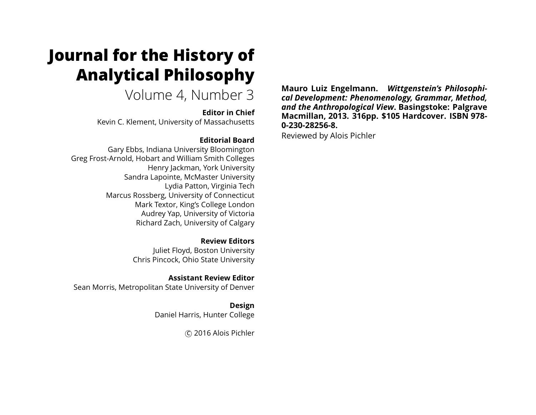# **Journal for the History of Analytical Philosophy**

Volume 4, Number 3

**Editor in Chief** Kevin C. Klement, University of Massachusetts

#### **Editorial Board**

Gary Ebbs, Indiana University Bloomington Greg Frost-Arnold, Hobart and William Smith Colleges Henry Jackman, York University Sandra Lapointe, McMaster University Lydia Patton, Virginia Tech Marcus Rossberg, University of Connecticut Mark Textor, King's College London Audrey Yap, University of Victoria Richard Zach, University of Calgary

> **Review Editors** Juliet Floyd, Boston University Chris Pincock, Ohio State University

**Assistant Review Editor** Sean Morris, Metropolitan State University of Denver

> **Design** Daniel Harris, Hunter College

> > c 2016 Alois Pichler

**Mauro Luiz Engelmann.** *Wittgenstein's Philosophical Development: Phenomenology, Grammar, Method, and the Anthropological View***. Basingstoke: Palgrave Macmillan, 2013. 316pp. \$105 Hardcover. ISBN 978- 0-230-28256-8.**

Reviewed by Alois Pichler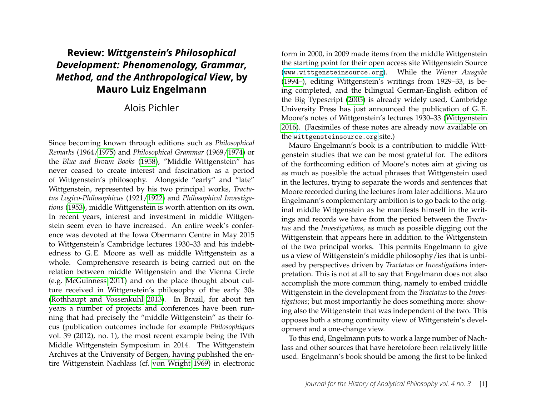# **Review:** *Wittgenstein's Philosophical Development: Phenomenology, Grammar, Method, and the Anthropological View***, by Mauro Luiz Engelmann**

## Alois Pichler

Since becoming known through editions such as *Philosophical Remarks* (1964[/1975\)](#page-9-0) and *Philosophical Grammar* (1969[/1974\)](#page-9-1) or the *Blue and Brown Books* [\(1958\)](#page-9-2), "Middle Wittgenstein" has never ceased to create interest and fascination as a period of Wittgenstein's philosophy. Alongside "early" and "late" Wittgenstein, represented by his two principal works, *Tractatus Logico-Philosophicus* (1921[/1922\)](#page-9-3) and *Philosophical Investigations* [\(1953\)](#page-9-4), middle Wittgenstein is worth attention on its own. In recent years, interest and investment in middle Wittgenstein seem even to have increased. An entire week's conference was devoted at the Iowa Obermann Centre in May 2015 to Wittgenstein's Cambridge lectures 1930–33 and his indebtedness to G. E. Moore as well as middle Wittgenstein as a whole. Comprehensive research is being carried out on the relation between middle Wittgenstein and the Vienna Circle (e.g. [McGuinness 2011\)](#page-8-0) and on the place thought about culture received in Wittgenstein's philosophy of the early 30s [\(Rothhaupt and Vossenkuhl 2013\)](#page-9-5). In Brazil, for about ten years a number of projects and conferences have been running that had precisely the "middle Wittgenstein" as their focus (publication outcomes include for example *Philosophiques* vol. 39 (2012), no. 1), the most recent example being the IVth Middle Wittgenstein Symposium in 2014. The Wittgenstein Archives at the University of Bergen, having published the entire Wittgenstein Nachlass (cf. [von Wright 1969\)](#page-9-6) in electronic

form in 2000, in 2009 made items from the middle Wittgenstein the starting point for their open access site Wittgenstein Source (<www.wittgensteinsource.org>). While the *Wiener Ausgabe* [\(1994–\)](#page-9-7), editing Wittgenstein's writings from 1929–33, is being completed, and the bilingual German-English edition of the Big Typescript [\(2005\)](#page-9-8) is already widely used, Cambridge University Press has just announced the publication of G. E. Moore's notes of Wittgenstein's lectures 1930–33 [\(Wittgenstein](#page-9-9) [2016\)](#page-9-9). (Facsimiles of these notes are already now available on the <wittgensteinsource.org> site.)

Mauro Engelmann's book is a contribution to middle Wittgenstein studies that we can be most grateful for. The editors of the forthcoming edition of Moore's notes aim at giving us as much as possible the actual phrases that Wittgenstein used in the lectures, trying to separate the words and sentences that Moore recorded during the lectures from later additions. Mauro Engelmann's complementary ambition is to go back to the original middle Wittgenstein as he manifests himself in the writings and records we have from the period between the *Tractatus* and the *Investigations*, as much as possible digging out the Wittgenstein that appears here in addition to the Wittgenstein of the two principal works. This permits Engelmann to give us a view of Wittgenstein's middle philosophy/ies that is unbiased by perspectives driven by *Tractatus* or *Investigations* interpretation. This is not at all to say that Engelmann does not also accomplish the more common thing, namely to embed middle Wittgenstein in the development from the *Tractatus* to the *Investigations*; but most importantly he does something more: showing also the Wittgenstein that was independent of the two. This opposes both a strong continuity view of Wittgenstein's development and a one-change view.

To this end, Engelmann puts to work a large number of Nachlass and other sources that have heretofore been relatively little used. Engelmann's book should be among the first to be linked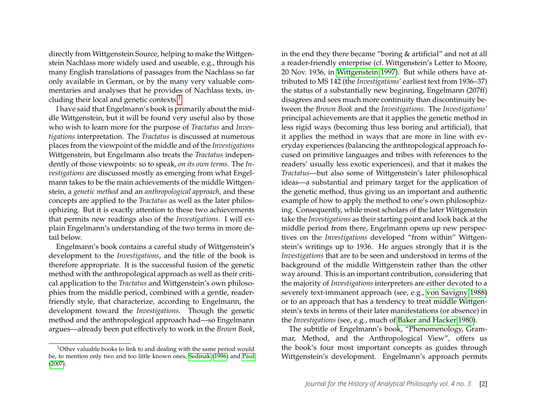directly from Wittgenstein Source, helping to make the Wittgenstein Nachlass more widely used and useable, e.g., through his many English translations of passages from the Nachlass so far only available in German, or by the many very valuable commentaries and analyses that he provides of Nachlass texts, in-cluding their local and genetic contexts.<sup>[1](#page-2-0)</sup>

I have said that Engelmann's book is primarily about the middle Wittgenstein, but it will be found very useful also by those who wish to learn more for the purpose of *Tractatus* and *Investigations* interpretation. The *Tractatus* is discussed at numerous places from the viewpoint of the middle and of the *Investigations* Wittgenstein, but Engelmann also treats the *Tractatus* independently of those viewpoints: so to speak, *on its own terms*. The *Investigations* are discussed mostly as emerging from what Engelmann takes to be the main achievements of the middle Wittgenstein, a *genetic method* and an *anthropological approach*, and these concepts are applied to the *Tractatus* as well as the later philosophizing. But it is exactly attention to these two achievements that permits new readings also of the *Investigations*. I will explain Engelmann's understanding of the two terms in more detail below.

Engelmann's book contains a careful study of Wittgenstein's development to the *Investigations*, and the title of the book is therefore appropriate. It is the successful fusion of the genetic method with the anthropological approach as well as their critical application to the *Tractatus* and Wittgenstein's own philosophies from the middle period, combined with a gentle, readerfriendly style, that characterize, according to Engelmann, the development toward the *Investigations*. Though the genetic method and the anthropological approach had—so Engelmann argues—already been put effectively to work in the *Brown Book*, in the end they there became "boring & artificial" and not at all a reader-friendly enterprise (cf. Wittgenstein's Letter to Moore, 20 Nov. 1936, in [Wittgenstein 1997\)](#page-9-11). But while others have attributed to MS 142 (the *Investigations*' earliest text from 1936–37) the status of a substantially new beginning, Engelmann (207ff) disagrees and sees much more continuity than discontinuity between the *Brown Book* and the *Investigations.* The *Investigations'* principal achievements are that it applies the genetic method in less rigid ways (becoming thus less boring and artificial), that it applies the method in ways that are more in line with everyday experiences (balancing the anthropological approach focused on primitive languages and tribes with references to the readers' usually less exotic experiences), and that it makes the *Tractatus*—but also some of Wittgenstein's later philosophical ideas—a substantial and primary target for the application of the genetic method, thus giving us an important and authentic example of how to apply the method to one's own philosophizing. Consequently, while most scholars of the later Wittgenstein take the *Investigations* as their starting point and look back at the middle period from there, Engelmann opens up new perspectives on the *Investigations* developed "from within" Wittgenstein's writings up to 1936. He argues strongly that it is the *Investigations* that are to be seen and understood in terms of the background of the middle Wittgenstein rather than the other way around. This is an important contribution, considering that the majority of *Investigations* interpreters are either devoted to a severely text-immanent approach (see, e.g., [von Savigny 1988\)](#page-9-12) or to an approach that has a tendency to treat middle Wittgenstein's texts in terms of their later manifestations (or absence) in the *Investigations* (see, e.g., much of [Baker and Hacker 1980\)](#page-8-2).

The subtitle of Engelmann's book, "Phenomenology, Grammar, Method, and the Anthropological View", offers us the book's four most important concepts as guides through Wittgenstein's development. Engelmann's approach permits

<span id="page-2-0"></span><sup>&</sup>lt;sup>1</sup>Other valuable books to link to and dealing with the same period would be, to mention only two and too little known ones, [Sedmak](#page-9-10) [\(1996\)](#page-9-10) and [Paul](#page-8-1) [\(2007\)](#page-8-1).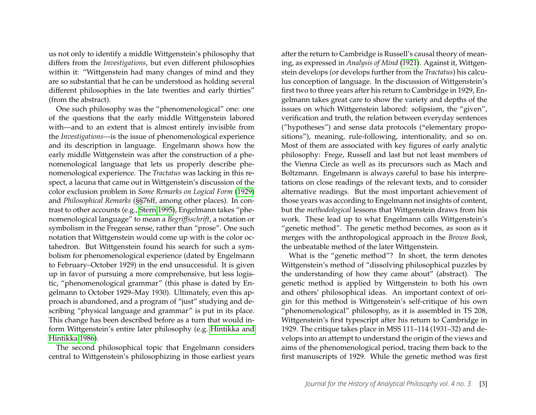us not only to identify a middle Wittgenstein's philosophy that differs from the *Investigations*, but even different philosophies within it: "Wittgenstein had many changes of mind and they are so substantial that he can be understood as holding several different philosophies in the late twenties and early thirties" (from the abstract).

One such philosophy was the "phenomenological" one: one of the questions that the early middle Wittgenstein labored with—and to an extent that is almost entirely invisible from the *Investigations*—is the issue of phenomenological experience and its description in language. Engelmann shows how the early middle Wittgenstein was after the construction of a phenomenological language that lets us properly describe phenomenological experience. The *Tractatus* was lacking in this respect, a lacuna that came out in Wittgenstein's discussion of the color exclusion problem in *Some Remarks on Logical Form* [\(1929\)](#page-9-13) and *Philosophical Remarks* (§§76ff, among other places). In contrast to other accounts (e.g., [Stern 1995\)](#page-9-14), Engelmann takes "phenomenological language" to mean a *Begriffsschrift*, a notation or symbolism in the Fregean sense, rather than "prose". One such notation that Wittgenstein would come up with is the color octahedron. But Wittgenstein found his search for such a symbolism for phenomenological experience (dated by Engelmann to February–October 1929) in the end unsuccessful. It is given up in favor of pursuing a more comprehensive, but less logistic, "phenomenological grammar" (this phase is dated by Engelmann to October 1929–May 1930). Ultimately, even this approach is abandoned, and a program of "just" studying and describing "physical language and grammar" is put in its place. This change has been described before as a turn that would inform Wittgenstein's entire later philosophy (e.g. [Hintikka and](#page-8-3) [Hintikka 1986\)](#page-8-3).

The second philosophical topic that Engelmann considers central to Wittgenstein's philosophizing in those earliest years after the return to Cambridge is Russell's causal theory of meaning, as expressed in *Analysis of Mind* [\(1921\)](#page-9-15). Against it, Wittgenstein develops (or develops further from the *Tractatus*) his calculus conception of language. In the discussion of Wittgenstein's first two to three years after his return to Cambridge in 1929, Engelmann takes great care to show the variety and depths of the issues on which Wittgenstein labored: solipsism, the "given", verification and truth, the relation between everyday sentences ("hypotheses") and sense data protocols ("elementary propositions"), meaning, rule-following, intentionality, and so on. Most of them are associated with key figures of early analytic philosophy: Frege, Russell and last but not least members of the Vienna Circle as well as its precursors such as Mach and Boltzmann. Engelmann is always careful to base his interpretations on close readings of the relevant texts, and to consider alternative readings. But the most important achievement of those years was according to Engelmann not insights of content, but the *methodological* lessons that Wittgenstein draws from his work. These lead up to what Engelmann calls Wittgenstein's "genetic method". The genetic method becomes, as soon as it merges with the anthropological approach in the *Brown Book*, the unbeatable method of the later Wittgenstein.

What is the "genetic method"? In short, the term denotes Wittgenstein's method of "dissolving philosophical puzzles by the understanding of how they came about" (abstract). The genetic method is applied by Wittgenstein to both his own and others' philosophical ideas. An important context of origin for this method is Wittgenstein's self-critique of his own "phenomenological" philosophy, as it is assembled in TS 208, Wittgenstein's first typescript after his return to Cambridge in 1929. The critique takes place in MSS 111–114 (1931–32) and develops into an attempt to understand the origin of the views and aims of the phenomenological period, tracing them back to the first manuscripts of 1929. While the genetic method was first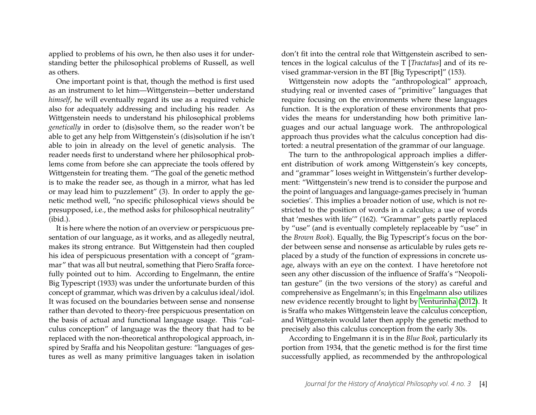applied to problems of his own, he then also uses it for understanding better the philosophical problems of Russell, as well as others.

One important point is that, though the method is first used as an instrument to let him—Wittgenstein—better understand *himself*, he will eventually regard its use as a required vehicle also for adequately addressing and including his reader. As Wittgenstein needs to understand his philosophical problems *genetically* in order to (dis)solve them, so the reader won't be able to get any help from Wittgenstein's (dis)solution if he isn't able to join in already on the level of genetic analysis. The reader needs first to understand where her philosophical problems come from before she can appreciate the tools offered by Wittgenstein for treating them. "The goal of the genetic method is to make the reader see, as though in a mirror, what has led or may lead him to puzzlement" (3). In order to apply the genetic method well, "no specific philosophical views should be presupposed, i.e., the method asks for philosophical neutrality" (ibid.).

It is here where the notion of an overview or perspicuous presentation of our language, as it works, and as allegedly neutral, makes its strong entrance. But Wittgenstein had then coupled his idea of perspicuous presentation with a concept of "grammar" that was all but neutral, something that Piero Sraffa forcefully pointed out to him. According to Engelmann, the entire Big Typescript (1933) was under the unfortunate burden of this concept of grammar, which was driven by a calculus ideal/idol. It was focused on the boundaries between sense and nonsense rather than devoted to theory-free perspicuous presentation on the basis of actual and functional language usage. This "calculus conception" of language was the theory that had to be replaced with the non-theoretical anthropological approach, inspired by Sraffa and his Neopolitan gesture: "languages of gestures as well as many primitive languages taken in isolation

don't fit into the central role that Wittgenstein ascribed to sentences in the logical calculus of the T [*Tractatus*] and of its revised grammar-version in the BT [Big Typescript]" (153).

Wittgenstein now adopts the "anthropological" approach, studying real or invented cases of "primitive" languages that require focusing on the environments where these languages function. It is the exploration of these environments that provides the means for understanding how both primitive languages and our actual language work. The anthropological approach thus provides what the calculus conception had distorted: a neutral presentation of the grammar of our language.

The turn to the anthropological approach implies a different distribution of work among Wittgenstein's key concepts, and "grammar" loses weight in Wittgenstein's further development: "Wittgenstein's new trend is to consider the purpose and the point of languages and language-games precisely in 'human societies'. This implies a broader notion of use, which is not restricted to the position of words in a calculus; a use of words that 'meshes with life'" (162). "Grammar" gets partly replaced by "use" (and is eventually completely replaceable by "use" in the *Brown Book*). Equally, the Big Typescript's focus on the border between sense and nonsense as articulable by rules gets replaced by a study of the function of expressions in concrete usage, always with an eye on the context. I have heretofore not seen any other discussion of the influence of Sraffa's "Neopolitan gesture" (in the two versions of the story) as careful and comprehensive as Engelmann's; in this Engelmann also utilizes new evidence recently brought to light by [Venturinha](#page-9-16) [\(2012\)](#page-9-16). It is Sraffa who makes Wittgenstein leave the calculus conception, and Wittgenstein would later then apply the genetic method to precisely also this calculus conception from the early 30s.

According to Engelmann it is in the *Blue Book*, particularly its portion from 1934, that the genetic method is for the first time successfully applied, as recommended by the anthropological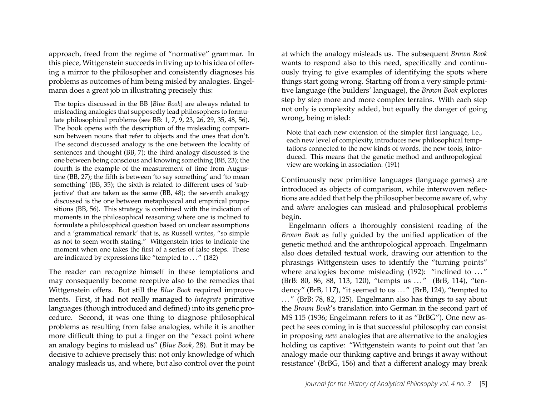approach, freed from the regime of "normative" grammar. In this piece, Wittgenstein succeeds in living up to his idea of offering a mirror to the philosopher and consistently diagnoses his problems as outcomes of him being misled by analogies. Engelmann does a great job in illustrating precisely this:

The topics discussed in the BB [*Blue Book*] are always related to misleading analogies that supposedly lead philosophers to formulate philosophical problems (see BB: 1, 7, 9, 23, 26, 29, 35, 48, 56). The book opens with the description of the misleading comparison between nouns that refer to objects and the ones that don't. The second discussed analogy is the one between the locality of sentences and thought (BB, 7); the third analogy discussed is the one between being conscious and knowing something (BB, 23); the fourth is the example of the measurement of time from Augustine (BB, 27); the fifth is between 'to say something' and 'to mean something' (BB, 35); the sixth is related to different uses of 'subjective' that are taken as the same (BB, 48); the seventh analogy discussed is the one between metaphysical and empirical propositions (BB, 56). This strategy is combined with the indication of moments in the philosophical reasoning where one is inclined to formulate a philosophical question based on unclear assumptions and a 'grammatical remark' that is, as Russell writes, "so simple as not to seem worth stating." Wittgenstein tries to indicate the moment when one takes the first of a series of false steps. These are indicated by expressions like "tempted to ..." (182)

The reader can recognize himself in these temptations and may consequently become receptive also to the remedies that Wittgenstein offers. But still the *Blue Book* required improvements. First, it had not really managed to *integrate* primitive languages (though introduced and defined) into its genetic procedure. Second, it was one thing to diagnose philosophical problems as resulting from false analogies, while it is another more difficult thing to put a finger on the "exact point where an analogy begins to mislead us" (*Blue Book*, 28). But it may be decisive to achieve precisely this: not only knowledge of which analogy misleads us, and where, but also control over the point at which the analogy misleads us. The subsequent *Brown Book* wants to respond also to this need, specifically and continuously trying to give examples of identifying the spots where things start going wrong. Starting off from a very simple primitive language (the builders' language), the *Brown Book* explores step by step more and more complex terrains. With each step not only is complexity added, but equally the danger of going wrong, being misled:

Note that each new extension of the simpler first language, i.e., each new level of complexity, introduces new philosophical temptations connected to the new kinds of words, the new tools, introduced. This means that the genetic method and anthropological view are working in association. (191)

Continuously new primitive languages (language games) are introduced as objects of comparison, while interwoven reflections are added that help the philosopher become aware of, why and *where* analogies can mislead and philosophical problems begin.

Engelmann offers a thoroughly consistent reading of the *Brown Book* as fully guided by the unified application of the genetic method and the anthropological approach. Engelmann also does detailed textual work, drawing our attention to the phrasings Wittgenstein uses to identify the "turning points" where analogies become misleading (192): "inclined to ..." (BrB: 80, 86, 88, 113, 120), "tempts us ..." (BrB, 114), "tendency" (BrB, 117), "it seemed to us ..." (BrB, 124), "tempted to . . . " (BrB: 78, 82, 125). Engelmann also has things to say about the *Brown Book*'s translation into German in the second part of MS 115 (1936; Engelmann refers to it as "BrBG"). One new aspect he sees coming in is that successful philosophy can consist in proposing *new* analogies that are alternative to the analogies holding us captive: "Wittgenstein wants to point out that 'an analogy made our thinking captive and brings it away without resistance' (BrBG, 156) and that a different analogy may break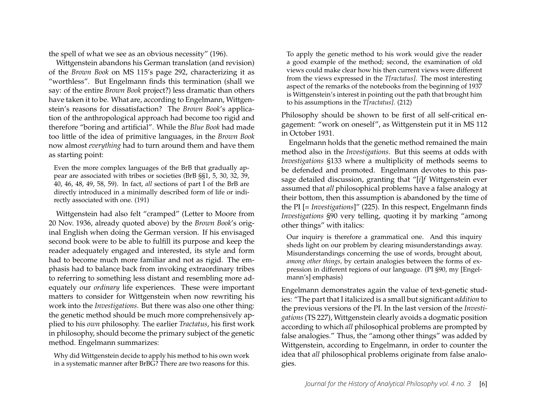the spell of what we see as an obvious necessity" (196).

Wittgenstein abandons his German translation (and revision) of the *Brown Book* on MS 115's page 292, characterizing it as "worthless". But Engelmann finds this termination (shall we say: of the entire *Brown Book* project?) less dramatic than others have taken it to be. What are, according to Engelmann, Wittgenstein's reasons for dissatisfaction? The *Brown Book*'s application of the anthropological approach had become too rigid and therefore "boring and artificial". While the *Blue Book* had made too little of the idea of primitive languages, in the *Brown Book* now almost *everything* had to turn around them and have them as starting point:

Even the more complex languages of the BrB that gradually appear are associated with tribes or societies (BrB §§1, 5, 30, 32, 39, 40, 46, 48, 49, 58, 59). In fact, *all* sections of part I of the BrB are directly introduced in a minimally described form of life or indirectly associated with one. (191)

Wittgenstein had also felt "cramped" (Letter to Moore from 20 Nov. 1936, already quoted above) by the *Brown Book*'s original English when doing the German version. If his envisaged second book were to be able to fulfill its purpose and keep the reader adequately engaged and interested, its style and form had to become much more familiar and not as rigid. The emphasis had to balance back from invoking extraordinary tribes to referring to something less distant and resembling more adequately our *ordinary* life experiences. These were important matters to consider for Wittgenstein when now rewriting his work into the *Investigations*. But there was also one other thing: the genetic method should be much more comprehensively applied to his *own* philosophy. The earlier *Tractatus*, his first work in philosophy, should become the primary subject of the genetic method. Engelmann summarizes:

Why did Wittgenstein decide to apply his method to his own work in a systematic manner after BrBG? There are two reasons for this.

To apply the genetic method to his work would give the reader a good example of the method; second, the examination of old views could make clear how his then current views were different from the views expressed in the *T[ractatus]*. The most interesting aspect of the remarks of the notebooks from the beginning of 1937 is Wittgenstein's interest in pointing out the path that brought him to his assumptions in the *T[ractatus]*. (212)

Philosophy should be shown to be first of all self-critical engagement: "work on oneself", as Wittgenstein put it in MS 112 in October 1931.

Engelmann holds that the genetic method remained the main method also in the *Investigations*. But this seems at odds with *Investigations* §133 where a multiplicity of methods seems to be defended and promoted. Engelmann devotes to this passage detailed discussion, granting that "[*i*]*f* Wittgenstein ever assumed that *all* philosophical problems have a false analogy at their bottom, then this assumption is abandoned by the time of the PI [= *Investigations*]" (225). In this respect, Engelmann finds *Investigations* §90 very telling, quoting it by marking "among other things" with italics:

Our inquiry is therefore a grammatical one. And this inquiry sheds light on our problem by clearing misunderstandings away. Misunderstandings concerning the use of words, brought about, *among other things,* by certain analogies between the forms of expression in different regions of our language. (PI §90, my [Engelmann's] emphasis)

Engelmann demonstrates again the value of text-genetic studies: "The part that I italicized is a small but significant *addition* to the previous versions of the PI. In the last version of the *Investigations* (TS 227), Wittgenstein clearly avoids a dogmatic position according to which *all* philosophical problems are prompted by false analogies." Thus, the "among other things" was added by Wittgenstein, according to Engelmann, in order to counter the idea that *all* philosophical problems originate from false analogies.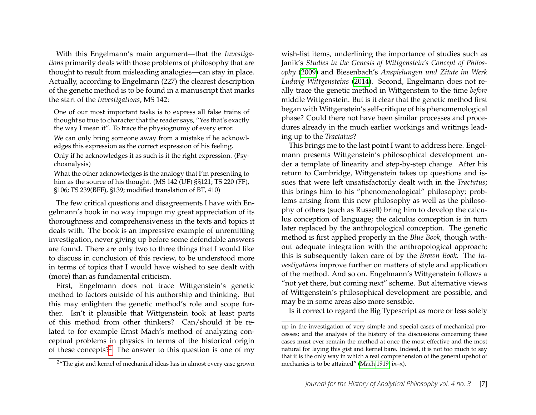With this Engelmann's main argument—that the *Investigations* primarily deals with those problems of philosophy that are thought to result from misleading analogies—can stay in place. Actually, according to Engelmann (227) the clearest description of the genetic method is to be found in a manuscript that marks the start of the *Investigations*, MS 142:

One of our most important tasks is to express all false trains of thought so true to character that the reader says, "Yes that's exactly the way I mean it". To trace the physiognomy of every error. We can only bring someone away from a mistake if he acknowledges this expression as the correct expression of his feeling. Only if he acknowledges it as such is it the right expression. (Psychoanalysis)

What the other acknowledges is the analogy that I'm presenting to him as the source of his thought. (MS 142 (UF) §§121; TS 220 (FF), §106; TS 239(BFF), §139; modified translation of BT, 410)

The few critical questions and disagreements I have with Engelmann's book in no way impugn my great appreciation of its thoroughness and comprehensiveness in the texts and topics it deals with. The book is an impressive example of unremitting investigation, never giving up before some defendable answers are found. There are only two to three things that I would like to discuss in conclusion of this review, to be understood more in terms of topics that I would have wished to see dealt with (more) than as fundamental criticism.

First, Engelmann does not trace Wittgenstein's genetic method to factors outside of his authorship and thinking. But this may enlighten the genetic method's role and scope further. Isn't it plausible that Wittgenstein took at least parts of this method from other thinkers? Can/should it be related to for example Ernst Mach's method of analyzing conceptual problems in physics in terms of the historical origin of these concepts?<sup>[2](#page-7-0)</sup> The answer to this question is one of my

wish-list items, underlining the importance of studies such as Janik's *Studies in the Genesis of Wittgenstein's Concept of Philosophy* [\(2009\)](#page-8-4) and Biesenbach's *Anspielungen und Zitate im Werk Ludwig Wittgensteins* [\(2014\)](#page-8-5). Second, Engelmann does not really trace the genetic method in Wittgenstein to the time *before* middle Wittgenstein. But is it clear that the genetic method first began with Wittgenstein's self-critique of his phenomenological phase? Could there not have been similar processes and procedures already in the much earlier workings and writings leading up to the *Tractatus*?

This brings me to the last point I want to address here. Engelmann presents Wittgenstein's philosophical development under a template of linearity and step-by-step change. After his return to Cambridge, Wittgenstein takes up questions and issues that were left unsatisfactorily dealt with in the *Tractatus*; this brings him to his "phenomenological" philosophy; problems arising from this new philosophy as well as the philosophy of others (such as Russell) bring him to develop the calculus conception of language; the calculus conception is in turn later replaced by the anthropological conception. The genetic method is first applied properly in the *Blue Book*, though without adequate integration with the anthropological approach; this is subsequently taken care of by the *Brown Book*. The *Investigations* improve further on matters of style and application of the method. And so on. Engelmann's Wittgenstein follows a "not yet there, but coming next" scheme. But alternative views of Wittgenstein's philosophical development are possible, and may be in some areas also more sensible.

Is it correct to regard the Big Typescript as more or less solely

<span id="page-7-0"></span><sup>&</sup>lt;sup>2</sup>"The gist and kernel of mechanical ideas has in almost every case grown

up in the investigation of very simple and special cases of mechanical processes; and the analysis of the history of the discussions concerning these cases must ever remain the method at once the most effective and the most natural for laying this gist and kernel bare. Indeed, it is not too much to say that it is the only way in which a real comprehension of the general upshot of mechanics is to be attained" [\(Mach 1919,](#page-8-6) ix–x).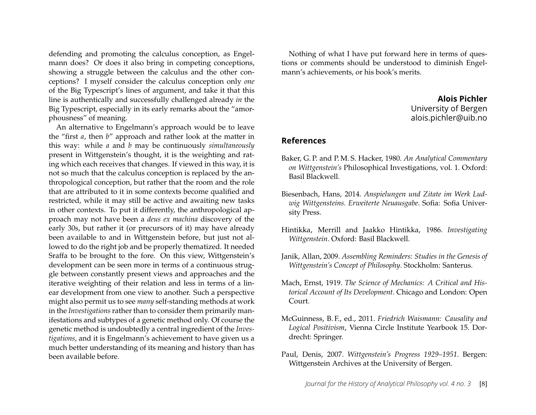defending and promoting the calculus conception, as Engelmann does? Or does it also bring in competing conceptions, showing a struggle between the calculus and the other conceptions? I myself consider the calculus conception only *one* of the Big Typescript's lines of argument, and take it that this line is authentically and successfully challenged already *in* the Big Typescript, especially in its early remarks about the "amorphousness" of meaning.

An alternative to Engelmann's approach would be to leave the "first *a*, then *b*" approach and rather look at the matter in this way: while *a* and *b* may be continuously *simultaneously* present in Wittgenstein's thought, it is the weighting and rating which each receives that changes. If viewed in this way, it is not so much that the calculus conception is replaced by the anthropological conception, but rather that the room and the role that are attributed to it in some contexts become qualified and restricted, while it may still be active and awaiting new tasks in other contexts. To put it differently, the anthropological approach may not have been a *deus ex machina* discovery of the early 30s, but rather it (or precursors of it) may have already been available to and in Wittgenstein before, but just not allowed to do the right job and be properly thematized. It needed Sraffa to be brought to the fore. On this view, Wittgenstein's development can be seen more in terms of a continuous struggle between constantly present views and approaches and the iterative weighting of their relation and less in terms of a linear development from one view to another. Such a perspective might also permit us to see *many* self-standing methods at work in the *Investigations* rather than to consider them primarily manifestations and subtypes of a genetic method only. Of course the genetic method is undoubtedly a central ingredient of the *Investigations*, and it is Engelmann's achievement to have given us a much better understanding of its meaning and history than has been available before.

Nothing of what I have put forward here in terms of questions or comments should be understood to diminish Engelmann's achievements, or his book's merits.

## **Alois Pichler** University of Bergen alois.pichler@uib.no

#### **References**

- <span id="page-8-2"></span>Baker, G. P. and P. M. S. Hacker, 1980. *An Analytical Commentary on Wittgenstein's* Philosophical Investigations, vol. 1. Oxford: Basil Blackwell.
- <span id="page-8-5"></span>Biesenbach, Hans, 2014. *Anspielungen und Zitate im Werk Ludwig Wittgensteins. Erweiterte Neuausgabe*. Sofia: Sofia University Press.
- <span id="page-8-3"></span>Hintikka, Merrill and Jaakko Hintikka, 1986. *Investigating Wittgenstein*. Oxford: Basil Blackwell.
- <span id="page-8-4"></span>Janik, Allan, 2009. *Assembling Reminders: Studies in the Genesis of Wittgenstein's Concept of Philosophy*. Stockholm: Santerus.
- <span id="page-8-6"></span>Mach, Ernst, 1919. *The Science of Mechanics: A Critical and Historical Account of Its Development*. Chicago and London: Open Court.
- <span id="page-8-0"></span>McGuinness, B. F., ed., 2011. *Friedrich Waismann: Causality and Logical Positivism*, Vienna Circle Institute Yearbook 15. Dordrecht: Springer.
- <span id="page-8-1"></span>Paul, Denis, 2007. *Wittgenstein's Progress 1929–1951*. Bergen: Wittgenstein Archives at the University of Bergen.